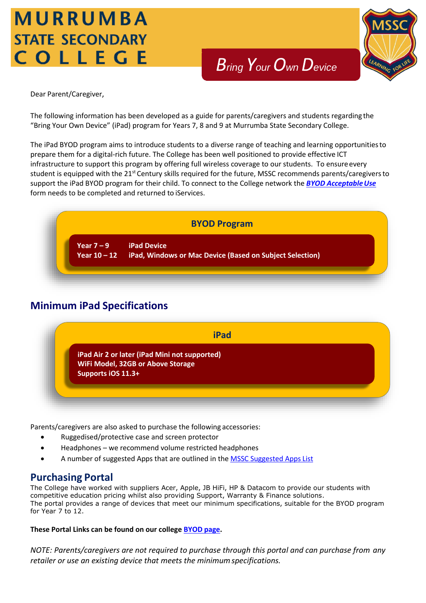# MURRUMBA **STATE SECONDARY** COLLEGE



Dear Parent/Caregiver,

The following information has been developed as a guide for parents/caregivers and students regarding the "Bring Your Own Device" (iPad) program for Years 7, 8 and 9 at Murrumba State Secondary College.

The iPad BYOD program aims to introduce students to a diverse range of teaching and learning opportunitiesto prepare them for a digital-rich future. The College has been well positioned to provide effective ICT infrastructure to support this program by offering full wireless coverage to our students. To ensure every student is equipped with the 21<sup>st</sup> Century skills required for the future, MSSC recommends parents/caregivers to support the iPad BYOD program for their child. To connect to the College network the **BYOD Acceptable Use** form needs to be completed and returned to iServices.



## **Minimum iPad Specifications**



Parents/caregivers are also asked to purchase the following accessories:

- Ruggedised/protective case and screen protector
- Headphones we recommend volume restricted headphones
- A number of suggested Apps that are outlined in the [MSSC Suggested Apps](https://murrumbassc.eq.edu.au/Supportandresources/Formsanddocuments/Documents/BYOD%20Forms%20and%20Documents/mssc-suggested-apps-list.pdf) List

### **Purchasing Portal**

The College have worked with suppliers Acer, Apple, JB HiFi, HP & Datacom to provide our students with competitive education pricing whilst also providing Support, Warranty & Finance solutions. The portal provides a range of devices that meet our minimum specifications, suitable for the BYOD program for Year 7 to 12.

**These Portal Links can be found on our colleg[e BYOD page.](https://murrumbassc.eq.edu.au/curriculum/bring-your-own-device)**

*NOTE: Parents/caregivers are not required to purchase through this portal and can purchase from any retailer or use an existing device that meets the minimumspecifications.*